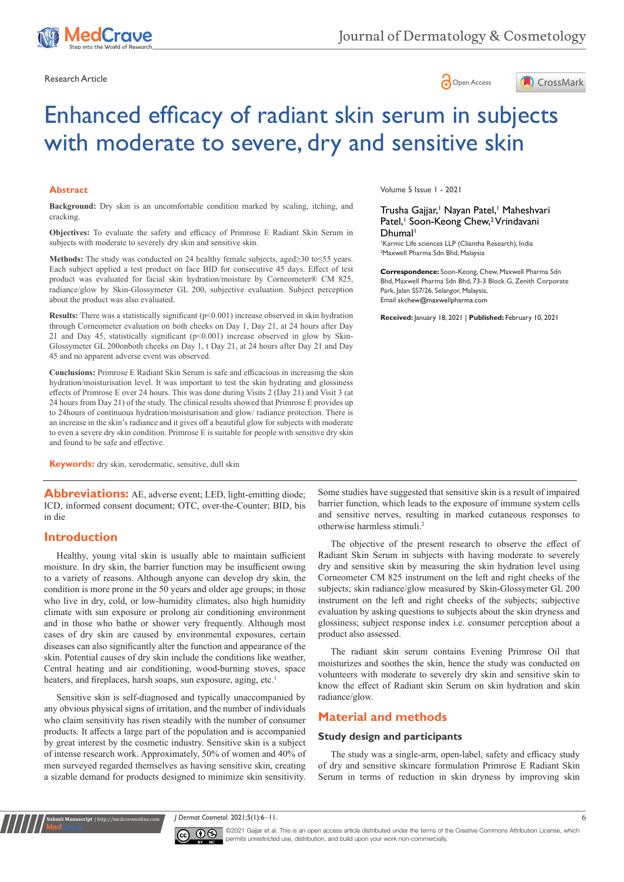





# Enhanced efficacy of radiant skin serum in subjects with moderate to severe, dry and sensitive skin

#### **Abstract**

**Background:** Dry skin is an uncomfortable condition marked by scaling, itching, and cracking.

**Objectives:** To evaluate the safety and efficacy of Primrose E Radiant Skin Serum in subjects with moderate to severely dry skin and sensitive skin.

**Methods:** The study was conducted on 24 healthy female subjects, aged≥30 to≤55 years. Each subject applied a test product on face BID for consecutive 45 days. Effect of test product was evaluated for facial skin hydration/moisture by Corneometer® CM 825, radiance/glow by Skin-Glossymeter GL 200, subjective evaluation. Subject perception about the product was also evaluated.

**Results:** There was a statistically significant (p<0.001) increase observed in skin hydration through Corneometer evaluation on both cheeks on Day 1, Day 21, at 24 hours after Day 21 and Day 45, statistically significant  $(p<0.001)$  increase observed in glow by Skin-Glossymeter GL 200onboth cheeks on Day 1, t Day 21, at 24 hours after Day 21 and Day 45 and no apparent adverse event was observed.

**Conclusions:** Primrose E Radiant Skin Serum is safe and efficacious in increasing the skin hydration/moisturisation level. It was important to test the skin hydrating and glossiness effects of Primrose E over 24 hours. This was done during Visits 2 (Day 21) and Visit 3 (at 24 hours from Day 21) of the study. The clinical results showed that Primrose E provides up to 24hours of continuous hydration/moisturisation and glow/ radiance protection. There is an increase in the skin's radiance and it gives off a beautiful glow for subjects with moderate to even a severe dry skin condition. Primrose E is suitable for people with sensitive dry skin and found to be safe and effective.

**Keywords:** dry skin, xerodermatic, sensitive, dull skin

**Abbreviations:** AE, adverse event: LED, light-emitting diode; ICD, informed consent document; OTC, over-the-Counter; BID, bis in die

# **Introduction**

**it Manuscript** | http://medcraveonline.

Healthy, young vital skin is usually able to maintain sufficient moisture. In dry skin, the barrier function may be insufficient owing to a variety of reasons. Although anyone can develop dry skin, the condition is more prone in the 50 years and older age groups; in those who live in dry, cold, or low-humidity climates, also high humidity climate with sun exposure or prolong air conditioning environment and in those who bathe or shower very frequently. Although most cases of dry skin are caused by environmental exposures, certain diseases can also significantly alter the function and appearance of the skin. Potential causes of dry skin include the conditions like weather, Central heating and air conditioning, wood-burning stoves, space heaters, and fireplaces, harsh soaps, sun exposure, aging, etc.<sup>1</sup>

Sensitive skin is self-diagnosed and typically unaccompanied by any obvious physical signs of irritation, and the number of individuals who claim sensitivity has risen steadily with the number of consumer products. It affects a large part of the population and is accompanied by great interest by the cosmetic industry. Sensitive skin is a subject of intense research work. Approximately, 50% of women and 40% of men surveyed regarded themselves as having sensitive skin, creating a sizable demand for products designed to minimize skin sensitivity.

Volume 5 Issue 1 - 2021

#### Trusha Gajjar,<sup>1</sup> Nayan Patel,<sup>1</sup> Maheshvari Patel,<sup>1</sup> Soon-Keong Chew,<sup>2</sup> Vrindavani Dhumal<sup>1</sup>

1 Karmic Life sciences LLP (Cliantha Research), India 2 Maxwell Pharma Sdn Bhd, Malaysia

**Correspondence:** Soon-Keong, Chew, Maxwell Pharma Sdn Bhd, Maxwell Pharma Sdn Bhd, 73-3 Block G, Zenith Corporate Park, Jalan SS7/26, Selangor, Malaysia, Email skchew@maxwellpharma.com

**Received:** January 18, 2021 | **Published:** February 10, 2021

Some studies have suggested that sensitive skin is a result of impaired barrier function, which leads to the exposure of immune system cells and sensitive nerves, resulting in marked cutaneous responses to otherwise harmless stimuli.<sup>2</sup>

The objective of the present research to observe the effect of Radiant Skin Serum in subjects with having moderate to severely dry and sensitive skin by measuring the skin hydration level using Corneometer CM 825 instrument on the left and right cheeks of the subjects; skin radiance/glow measured by Skin-Glossymeter GL 200 instrument on the left and right cheeks of the subjects; subjective evaluation by asking questions to subjects about the skin dryness and glossiness; subject response index i.e. consumer perception about a product also assessed.

The radiant skin serum contains Evening Primrose Oil that moisturizes and soothes the skin, hence the study was conducted on volunteers with moderate to severely dry skin and sensitive skin to know the effect of Radiant skin Serum on skin hydration and skin radiance/glow.

# **Material and methods**

#### **Study design and participants**

The study was a single-arm, open-label, safety and efficacy study of dry and sensitive skincare formulation Primrose E Radiant Skin Serum in terms of reduction in skin dryness by improving skin

*J Dermat Cosmetol.* 2021;5(1):6‒11. 6



©2021 Gajjar et al. This is an open access article distributed under the terms of the [Creative Commons Attribution License](https://creativecommons.org/licenses/by-nc/4.0/), which permits unrestricted use, distribution, and build upon your work non-commercially.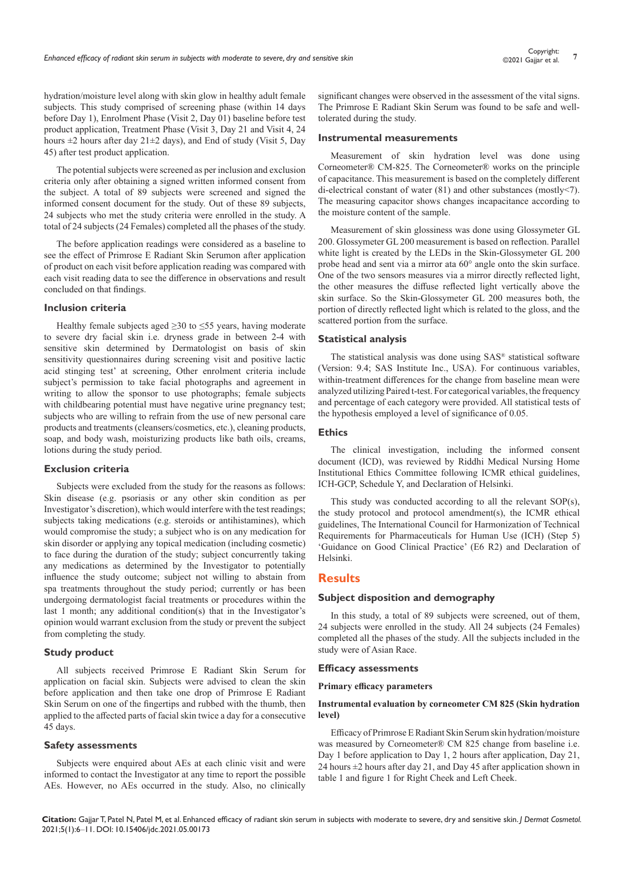hydration/moisture level along with skin glow in healthy adult female subjects. This study comprised of screening phase (within 14 days before Day 1), Enrolment Phase (Visit 2, Day 01) baseline before test product application, Treatment Phase (Visit 3, Day 21 and Visit 4, 24 hours  $\pm 2$  hours after day  $21 \pm 2$  days), and End of study (Visit 5, Day 45) after test product application.

The potential subjects were screened as per inclusion and exclusion criteria only after obtaining a signed written informed consent from the subject. A total of 89 subjects were screened and signed the informed consent document for the study. Out of these 89 subjects, 24 subjects who met the study criteria were enrolled in the study. A total of 24 subjects (24 Females) completed all the phases of the study.

The before application readings were considered as a baseline to see the effect of Primrose E Radiant Skin Serumon after application of product on each visit before application reading was compared with each visit reading data to see the difference in observations and result concluded on that findings.

#### **Inclusion criteria**

Healthy female subjects aged  $\geq$ 30 to  $\leq$ 55 years, having moderate to severe dry facial skin i.e. dryness grade in between 2-4 with sensitive skin determined by Dermatologist on basis of skin sensitivity questionnaires during screening visit and positive lactic acid stinging test' at screening, Other enrolment criteria include subject's permission to take facial photographs and agreement in writing to allow the sponsor to use photographs; female subjects with childbearing potential must have negative urine pregnancy test; subjects who are willing to refrain from the use of new personal care products and treatments (cleansers/cosmetics, etc.), cleaning products, soap, and body wash, moisturizing products like bath oils, creams, lotions during the study period.

#### **Exclusion criteria**

Subjects were excluded from the study for the reasons as follows: Skin disease (e.g. psoriasis or any other skin condition as per Investigator's discretion), which would interfere with the test readings; subjects taking medications (e.g. steroids or antihistamines), which would compromise the study; a subject who is on any medication for skin disorder or applying any topical medication (including cosmetic) to face during the duration of the study; subject concurrently taking any medications as determined by the Investigator to potentially influence the study outcome; subject not willing to abstain from spa treatments throughout the study period; currently or has been undergoing dermatologist facial treatments or procedures within the last 1 month; any additional condition(s) that in the Investigator's opinion would warrant exclusion from the study or prevent the subject from completing the study.

#### **Study product**

All subjects received Primrose E Radiant Skin Serum for application on facial skin. Subjects were advised to clean the skin before application and then take one drop of Primrose E Radiant Skin Serum on one of the fingertips and rubbed with the thumb, then applied to the affected parts of facial skin twice a day for a consecutive 45 days.

#### **Safety assessments**

Subjects were enquired about AEs at each clinic visit and were informed to contact the Investigator at any time to report the possible AEs. However, no AEs occurred in the study. Also, no clinically

significant changes were observed in the assessment of the vital signs. The Primrose E Radiant Skin Serum was found to be safe and welltolerated during the study.

#### **Instrumental measurements**

Measurement of skin hydration level was done using Corneometer® CM-825. The Corneometer® works on the principle of capacitance. This measurement is based on the completely different di-electrical constant of water (81) and other substances (mostly<7). The measuring capacitor shows changes incapacitance according to the moisture content of the sample.

Measurement of skin glossiness was done using Glossymeter GL 200. Glossymeter GL 200 measurement is based on reflection. Parallel white light is created by the LEDs in the Skin-Glossymeter GL 200 probe head and sent via a mirror ata 60° angle onto the skin surface. One of the two sensors measures via a mirror directly reflected light, the other measures the diffuse reflected light vertically above the skin surface. So the Skin-Glossymeter GL 200 measures both, the portion of directly reflected light which is related to the gloss, and the scattered portion from the surface.

#### **Statistical analysis**

The statistical analysis was done using SAS® statistical software (Version: 9.4; SAS Institute Inc., USA). For continuous variables, within-treatment differences for the change from baseline mean were analyzed utilizing Paired t-test. For categorical variables, the frequency and percentage of each category were provided. All statistical tests of the hypothesis employed a level of significance of 0.05.

## **Ethics**

The clinical investigation, including the informed consent document (ICD), was reviewed by Riddhi Medical Nursing Home Institutional Ethics Committee following ICMR ethical guidelines, ICH-GCP, Schedule Y, and Declaration of Helsinki.

This study was conducted according to all the relevant SOP(s), the study protocol and protocol amendment(s), the ICMR ethical guidelines, The International Council for Harmonization of Technical Requirements for Pharmaceuticals for Human Use (ICH) (Step 5) 'Guidance on Good Clinical Practice' (E6 R2) and Declaration of Helsinki.

## **Results**

#### **Subject disposition and demography**

In this study, a total of 89 subjects were screened, out of them, 24 subjects were enrolled in the study. All 24 subjects (24 Females) completed all the phases of the study. All the subjects included in the study were of Asian Race.

## **Efficacy assessments**

#### **Primary efficacy parameters**

#### **Instrumental evaluation by corneometer CM 825 (Skin hydration level)**

Efficacy of Primrose E Radiant Skin Serum skin hydration/moisture was measured by Corneometer® CM 825 change from baseline i.e. Day 1 before application to Day 1, 2 hours after application, Day 21, 24 hours  $\pm$ 2 hours after day 21, and Day 45 after application shown in table 1 and figure 1 for Right Cheek and Left Cheek.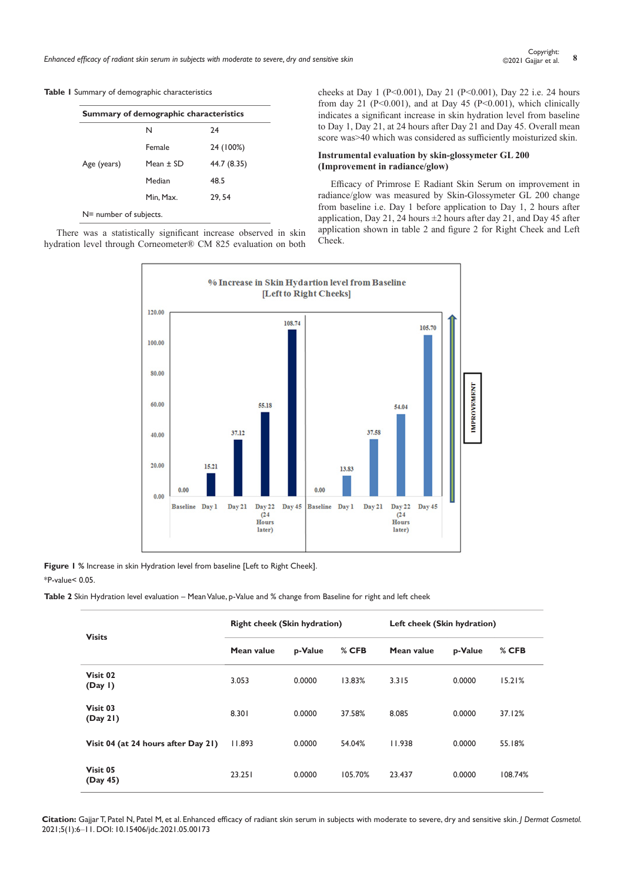*Enhanced efficacy of radiant skin serum in subjects with moderate to severe, dry and sensitive skin* **<sup>8</sup>** Copyright:

#### **Table 1** Summary of demographic characteristics

|                        | Summary of demographic characteristics |             |
|------------------------|----------------------------------------|-------------|
|                        | N                                      | 24          |
|                        | Female                                 | 24 (100%)   |
| Age (years)            | Mean $\pm$ SD                          | 44.7 (8.35) |
|                        | Median                                 | 48.5        |
|                        | Min. Max.                              | 29, 54      |
| N= number of subjects. |                                        |             |

There was a statistically significant increase observed in skin hydration level through Corneometer® CM 825 evaluation on both cheeks at Day 1 (P<0.001), Day 21 (P<0.001), Day 22 i.e. 24 hours from day 21 (P<0.001), and at Day 45 (P<0.001), which clinically indicates a significant increase in skin hydration level from baseline to Day 1, Day 21, at 24 hours after Day 21 and Day 45. Overall mean score was>40 which was considered as sufficiently moisturized skin.

## **Instrumental evaluation by skin-glossymeter GL 200 (Improvement in radiance/glow)**

Efficacy of Primrose E Radiant Skin Serum on improvement in radiance/glow was measured by Skin-Glossymeter GL 200 change from baseline i.e. Day 1 before application to Day 1, 2 hours after application, Day 21, 24 hours  $\pm 2$  hours after day 21, and Day 45 after application shown in table 2 and figure 2 for Right Cheek and Left Cheek.



**Figure 1 %** Increase in skin Hydration level from baseline [Left to Right Cheek].

\*P-value< 0.05.

**Table 2** Skin Hydration level evaluation – Mean Value, p-Value and % change from Baseline for right and left cheek

| <b>Visits</b>                       | <b>Right cheek (Skin hydration)</b> |         |         | Left cheek (Skin hydration) |         |         |
|-------------------------------------|-------------------------------------|---------|---------|-----------------------------|---------|---------|
|                                     | Mean value                          | p-Value | % CFB   | Mean value                  | p-Value | % CFB   |
| Visit 02<br>(Day I)                 | 3.053                               | 0.0000  | 13.83%  | 3.315                       | 0.0000  | 15.21%  |
| Visit 03<br>(Day 21)                | 8.301                               | 0.0000  | 37.58%  | 8.085                       | 0.0000  | 37.12%  |
| Visit 04 (at 24 hours after Day 21) | 11.893                              | 0.0000  | 54.04%  | 11.938                      | 0.0000  | 55.18%  |
| Visit 05<br>(Day 45)                | 23.251                              | 0.0000  | 105.70% | 23.437                      | 0.0000  | 108.74% |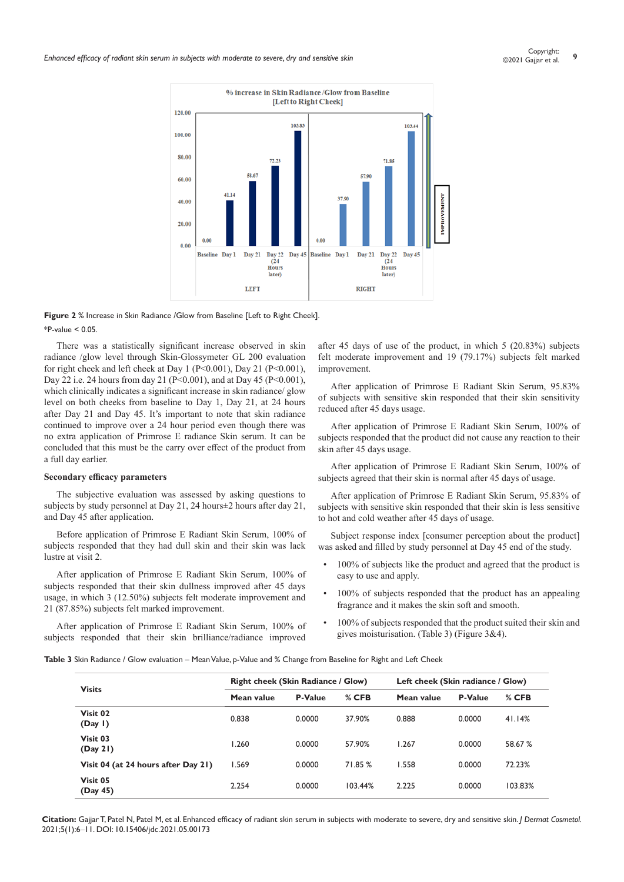

**Figure 2** % Increase in Skin Radiance /Glow from Baseline [Left to Right Cheek].  $*P_{-}$ value < 0.05

There was a statistically significant increase observed in skin radiance /glow level through Skin-Glossymeter GL 200 evaluation for right cheek and left cheek at Day 1 (P<0.001), Day 21 (P<0.001), Day 22 i.e. 24 hours from day 21 (P<0.001), and at Day 45 (P<0.001), which clinically indicates a significant increase in skin radiance/ glow level on both cheeks from baseline to Day 1, Day 21, at 24 hours after Day 21 and Day 45. It's important to note that skin radiance continued to improve over a 24 hour period even though there was no extra application of Primrose E radiance Skin serum. It can be concluded that this must be the carry over effect of the product from a full day earlier.

#### **Secondary efficacy parameters**

The subjective evaluation was assessed by asking questions to subjects by study personnel at Day 21, 24 hours $\pm$ 2 hours after day 21, and Day 45 after application.

Before application of Primrose E Radiant Skin Serum, 100% of subjects responded that they had dull skin and their skin was lack lustre at visit 2.

After application of Primrose E Radiant Skin Serum, 100% of subjects responded that their skin dullness improved after 45 days usage, in which 3 (12.50%) subjects felt moderate improvement and 21 (87.85%) subjects felt marked improvement.

After application of Primrose E Radiant Skin Serum, 100% of subjects responded that their skin brilliance/radiance improved

after 45 days of use of the product, in which 5 (20.83%) subjects felt moderate improvement and 19 (79.17%) subjects felt marked improvement.

After application of Primrose E Radiant Skin Serum, 95.83% of subjects with sensitive skin responded that their skin sensitivity reduced after 45 days usage.

After application of Primrose E Radiant Skin Serum, 100% of subjects responded that the product did not cause any reaction to their skin after 45 days usage.

After application of Primrose E Radiant Skin Serum, 100% of subjects agreed that their skin is normal after 45 days of usage.

After application of Primrose E Radiant Skin Serum, 95.83% of subjects with sensitive skin responded that their skin is less sensitive to hot and cold weather after 45 days of usage.

Subject response index [consumer perception about the product] was asked and filled by study personnel at Day 45 end of the study.

- 100% of subjects like the product and agreed that the product is easy to use and apply.
- 100% of subjects responded that the product has an appealing fragrance and it makes the skin soft and smooth.
- 100% of subjects responded that the product suited their skin and gives moisturisation. (Table 3) (Figure 3&4).

**Table 3** Skin Radiance / Glow evaluation – Mean Value, p-Value and % Change from Baseline for Right and Left Cheek

| <b>Visits</b>                       |            | <b>Right cheek (Skin Radiance / Glow)</b> |         | Left cheek (Skin radiance / Glow) |                |         |
|-------------------------------------|------------|-------------------------------------------|---------|-----------------------------------|----------------|---------|
|                                     | Mean value | <b>P-Value</b>                            | $%$ CFB | Mean value                        | <b>P-Value</b> | $%$ CFB |
| Visit 02<br>(Day I)                 | 0.838      | 0.0000                                    | 37.90%  | 0.888                             | 0.0000         | 41.14%  |
| Visit 03<br>(Day 21)                | 1.260      | 0.0000                                    | 57.90%  | 1.267                             | 0.0000         | 58.67 % |
| Visit 04 (at 24 hours after Day 21) | 1.569      | 0.0000                                    | 71.85 % | 1.558                             | 0.0000         | 72.23%  |
| Visit 05<br>(Day 45)                | 2.254      | 0.0000                                    | 103.44% | 2.225                             | 0.0000         | 103.83% |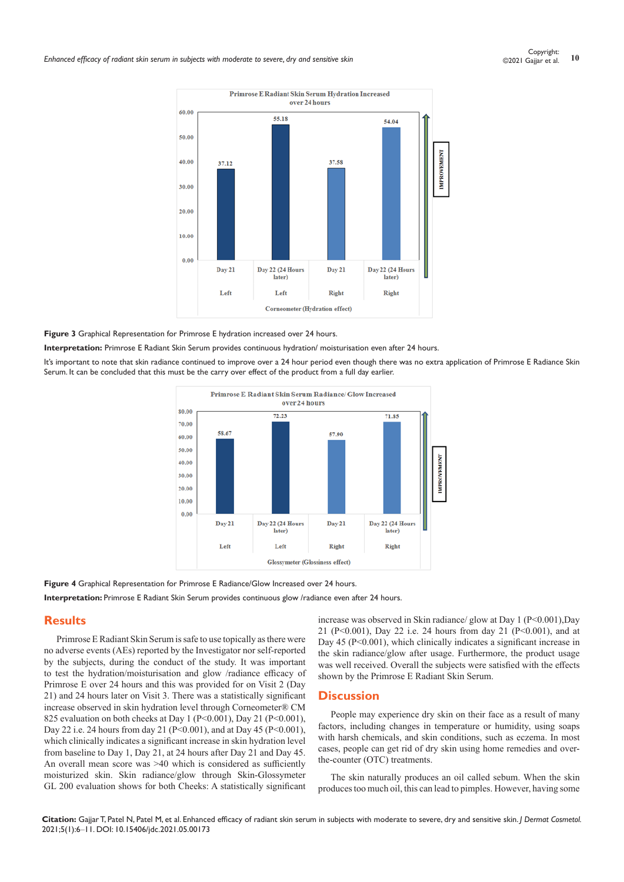

#### **Figure 3** Graphical Representation for Primrose E hydration increased over 24 hours.

**Interpretation:** Primrose E Radiant Skin Serum provides continuous hydration/ moisturisation even after 24 hours.

It's important to note that skin radiance continued to improve over a 24 hour period even though there was no extra application of Primrose E Radiance Skin Serum. It can be concluded that this must be the carry over effect of the product from a full day earlier.



**Figure 4** Graphical Representation for Primrose E Radiance/Glow Increased over 24 hours.

**Interpretation:** Primrose E Radiant Skin Serum provides continuous glow /radiance even after 24 hours.

# **Results**

Primrose E Radiant Skin Serum is safe to use topically as there were no adverse events (AEs) reported by the Investigator nor self-reported by the subjects, during the conduct of the study. It was important to test the hydration/moisturisation and glow /radiance efficacy of Primrose E over 24 hours and this was provided for on Visit 2 (Day 21) and 24 hours later on Visit 3. There was a statistically significant increase observed in skin hydration level through Corneometer® CM 825 evaluation on both cheeks at Day 1 ( $P \le 0.001$ ), Day 21 ( $P \le 0.001$ ), Day 22 i.e. 24 hours from day 21 (P<0.001), and at Day 45 (P<0.001), which clinically indicates a significant increase in skin hydration level from baseline to Day 1, Day 21, at 24 hours after Day 21 and Day 45. An overall mean score was >40 which is considered as sufficiently moisturized skin. Skin radiance/glow through Skin-Glossymeter GL 200 evaluation shows for both Cheeks: A statistically significant

increase was observed in Skin radiance/ glow at Day 1 (P<0.001),Day 21 (P<0.001), Day 22 i.e. 24 hours from day 21 (P<0.001), and at Day 45 (P<0.001), which clinically indicates a significant increase in the skin radiance/glow after usage. Furthermore, the product usage was well received. Overall the subjects were satisfied with the effects shown by the Primrose E Radiant Skin Serum.

## **Discussion**

People may experience dry skin on their face as a result of many factors, including changes in temperature or humidity, using soaps with harsh chemicals, and skin conditions, such as eczema. In most cases, people can get rid of dry skin using home remedies and overthe-counter (OTC) treatments.

The skin naturally produces an oil called sebum. When the skin produces too much oil, this can lead to [pimples](https://www.medicalnewstoday.com/articles/71702.php). However, having some